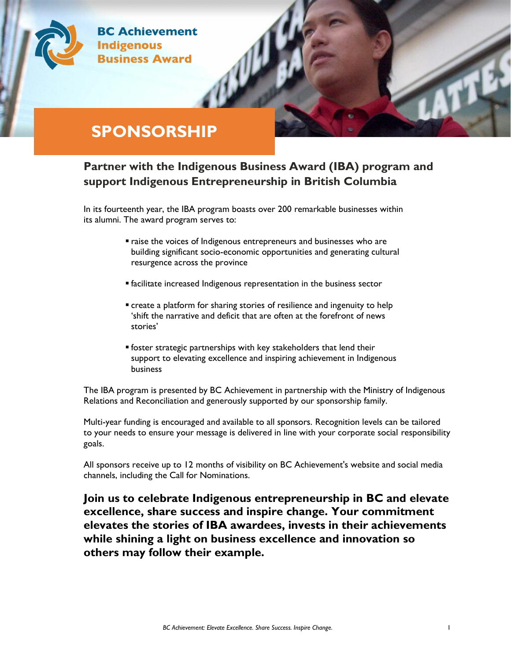

## **SPONSORSHIP**

### **Partner with the Indigenous Business Award (IBA) program and support Indigenous Entrepreneurship in British Columbia**

In its fourteenth year, the IBA program boasts over 200 remarkable businesses within its alumni. The award program serves to:

- raise the voices of Indigenous entrepreneurs and businesses who are building significant socio-economic opportunities and generating cultural resurgence across the province
- **Example 1** facilitate increased Indigenous representation in the business sector
- **•** create a platform for sharing stories of resilience and ingenuity to help 'shift the narrative and deficit that are often at the forefront of news stories'
- foster strategic partnerships with key stakeholders that lend their support to elevating excellence and inspiring achievement in Indigenous business

The IBA program is presented by BC Achievement in partnership with the Ministry of Indigenous Relations and Reconciliation and generously supported by our sponsorship family.

Multi-year funding is encouraged and available to all sponsors. Recognition levels can be tailored to your needs to ensure your message is delivered in line with your corporate social responsibility goals.

All sponsors receive up to 12 months of visibility on BC Achievement's website and social media channels, including the Call for Nominations.

**Join us to celebrate Indigenous entrepreneurship in BC and elevate excellence, share success and inspire change. Your commitment elevates the stories of IBA awardees, invests in their achievements while shining a light on business excellence and innovation so others may follow their example.**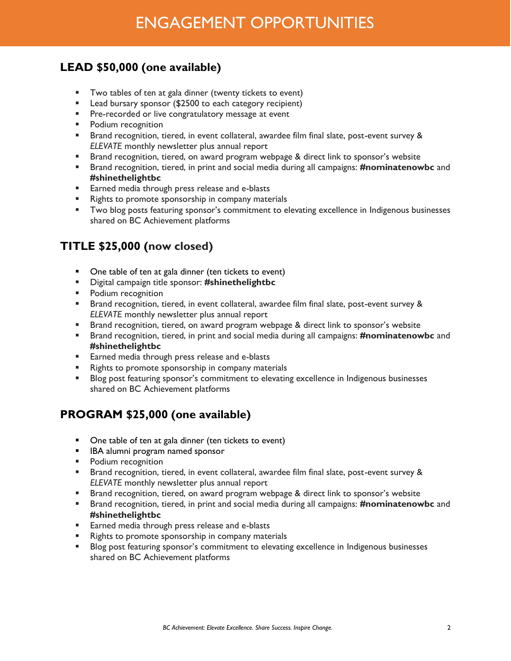# ENGAGEMENT OPPORTUNITIES

### **LEAD \$50,000 (one available)**

- Two tables of ten at gala dinner (twenty tickets to event)
- Lead bursary sponsor (\$2500 to each category recipient)
- **•** Pre-recorded or live congratulatory message at event
- Podium recognition
- Brand recognition, tiered, in event collateral, awardee film final slate, post-event survey & *ELEVATE* monthly newsletter plus annual report
- **EXECO F** Brand recognition, tiered, on award program webpage & direct link to sponsor's website
- Brand recognition, tiered, in print and social media during all campaigns: **#nominatenowbc** and **#shinethelightbc**
- Earned media through press release and e-blasts
- Rights to promote sponsorship in company materials
- **•** Two blog posts featuring sponsor's commitment to elevating excellence in Indigenous businesses shared on BC Achievement platforms

### **TITLE \$25,000 (now closed)**

- One table of ten at gala dinner (ten tickets to event)
- Digital campaign title sponsor: **#shinethelightbc**
- Podium recognition
- Brand recognition, tiered, in event collateral, awardee film final slate, post-event survey & *ELEVATE* monthly newsletter plus annual report
- **EXECO F** Brand recognition, tiered, on award program webpage & direct link to sponsor's website
- Brand recognition, tiered, in print and social media during all campaigns: **#nominatenowbc** and **#shinethelightbc**
- Earned media through press release and e-blasts
- Rights to promote sponsorship in company materials
- Blog post featuring sponsor's commitment to elevating excellence in Indigenous businesses shared on BC Achievement platforms

### **PROGRAM \$25,000 (one available)**

- One table of ten at gala dinner (ten tickets to event)
- IBA alumni program named sponsor
- Podium recognition
- Brand recognition, tiered, in event collateral, awardee film final slate, post-event survey & *ELEVATE* monthly newsletter plus annual report
- Brand recognition, tiered, on award program webpage & direct link to sponsor's website
- Brand recognition, tiered, in print and social media during all campaigns: **#nominatenowbc** and **#shinethelightbc**
- Earned media through press release and e-blasts
- Rights to promote sponsorship in company materials
- Blog post featuring sponsor's commitment to elevating excellence in Indigenous businesses shared on BC Achievement platforms